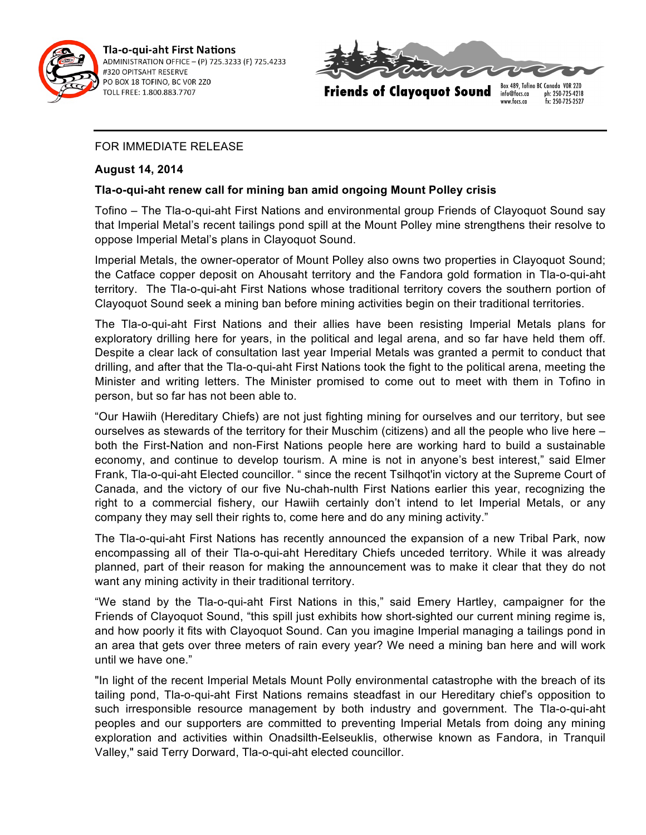

Tla-o-qui-aht First Nations ADMINISTRATION OFFICE - (P) 725.3233 (F) 725.4233 #320 OPITSAHT RESERVE PO BOX 18 TOFINO, BC VOR 2Z0 TOLL FREE: 1.800.883.7707



**Friends of Clayoquot Sound** 

ph: 250-725-4218 info@focs.ca www.focs.ca fx: 250-725-2527

## FOR IMMEDIATE RELEASE

## **August 14, 2014**

## **Tla-o-qui-aht renew call for mining ban amid ongoing Mount Polley crisis**

Tofino – The Tla-o-qui-aht First Nations and environmental group Friends of Clayoquot Sound say that Imperial Metal's recent tailings pond spill at the Mount Polley mine strengthens their resolve to oppose Imperial Metal's plans in Clayoquot Sound.

Imperial Metals, the owner-operator of Mount Polley also owns two properties in Clayoquot Sound; the Catface copper deposit on Ahousaht territory and the Fandora gold formation in Tla-o-qui-aht territory. The Tla-o-qui-aht First Nations whose traditional territory covers the southern portion of Clayoquot Sound seek a mining ban before mining activities begin on their traditional territories.

The Tla-o-qui-aht First Nations and their allies have been resisting Imperial Metals plans for exploratory drilling here for years, in the political and legal arena, and so far have held them off. Despite a clear lack of consultation last year Imperial Metals was granted a permit to conduct that drilling, and after that the Tla-o-qui-aht First Nations took the fight to the political arena, meeting the Minister and writing letters. The Minister promised to come out to meet with them in Tofino in person, but so far has not been able to.

"Our Hawiih (Hereditary Chiefs) are not just fighting mining for ourselves and our territory, but see ourselves as stewards of the territory for their Muschim (citizens) and all the people who live here – both the First-Nation and non-First Nations people here are working hard to build a sustainable economy, and continue to develop tourism. A mine is not in anyone's best interest," said Elmer Frank, Tla-o-qui-aht Elected councillor. " since the recent Tsilhqot'in victory at the Supreme Court of Canada, and the victory of our five Nu-chah-nulth First Nations earlier this year, recognizing the right to a commercial fishery, our Hawiih certainly don't intend to let Imperial Metals, or any company they may sell their rights to, come here and do any mining activity."

The Tla-o-qui-aht First Nations has recently announced the expansion of a new Tribal Park, now encompassing all of their Tla-o-qui-aht Hereditary Chiefs unceded territory. While it was already planned, part of their reason for making the announcement was to make it clear that they do not want any mining activity in their traditional territory.

"We stand by the Tla-o-qui-aht First Nations in this," said Emery Hartley, campaigner for the Friends of Clayoquot Sound, "this spill just exhibits how short-sighted our current mining regime is, and how poorly it fits with Clayoquot Sound. Can you imagine Imperial managing a tailings pond in an area that gets over three meters of rain every year? We need a mining ban here and will work until we have one."

"In light of the recent Imperial Metals Mount Polly environmental catastrophe with the breach of its tailing pond, Tla-o-qui-aht First Nations remains steadfast in our Hereditary chief's opposition to such irresponsible resource management by both industry and government. The Tla-o-qui-aht peoples and our supporters are committed to preventing Imperial Metals from doing any mining exploration and activities within Onadsilth-Eelseuklis, otherwise known as Fandora, in Tranquil Valley," said Terry Dorward, Tla-o-qui-aht elected councillor.